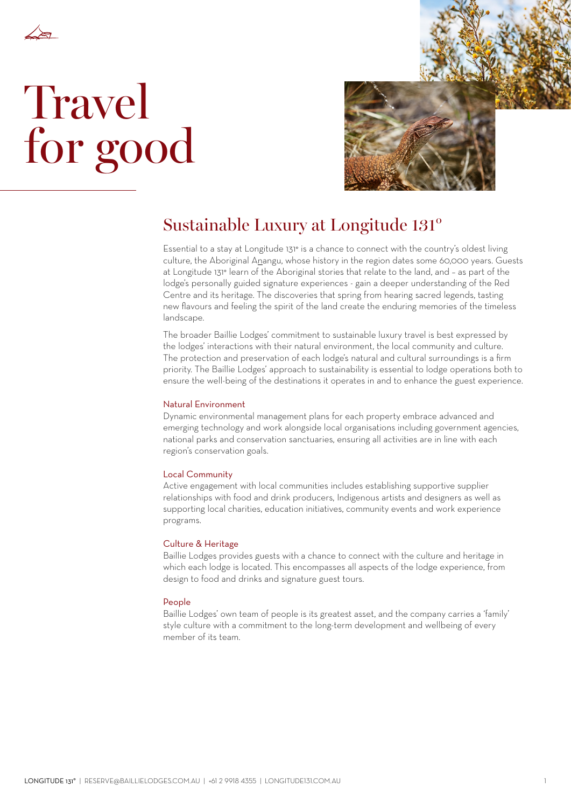

# **Travel** for good



## Sustainable Luxury at Longitude 131°

Essential to a stay at Longitude 131° is a chance to connect with the country's oldest living culture, the Aboriginal Anangu, whose history in the region dates some 60,000 years. Guests at Longitude 131° learn of the Aboriginal stories that relate to the land, and – as part of the lodge's personally guided signature experiences - gain a deeper understanding of the Red Centre and its heritage. The discoveries that spring from hearing sacred legends, tasting new flavours and feeling the spirit of the land create the enduring memories of the timeless landscape.

The broader Baillie Lodges' commitment to sustainable luxury travel is best expressed by the lodges' interactions with their natural environment, the local community and culture. The protection and preservation of each lodge's natural and cultural surroundings is a firm priority. The Baillie Lodges' approach to sustainability is essential to lodge operations both to ensure the well-being of the destinations it operates in and to enhance the guest experience.

#### Natural Environment

Dynamic environmental management plans for each property embrace advanced and emerging technology and work alongside local organisations including government agencies, national parks and conservation sanctuaries, ensuring all activities are in line with each region's conservation goals.

#### Local Community

Active engagement with local communities includes establishing supportive supplier relationships with food and drink producers, Indigenous artists and designers as well as supporting local charities, education initiatives, community events and work experience programs.

#### Culture & Heritage

Baillie Lodges provides guests with a chance to connect with the culture and heritage in which each lodge is located. This encompasses all aspects of the lodge experience, from design to food and drinks and signature guest tours.

#### People

Baillie Lodges' own team of people is its greatest asset, and the company carries a 'family' style culture with a commitment to the long-term development and wellbeing of every member of its team.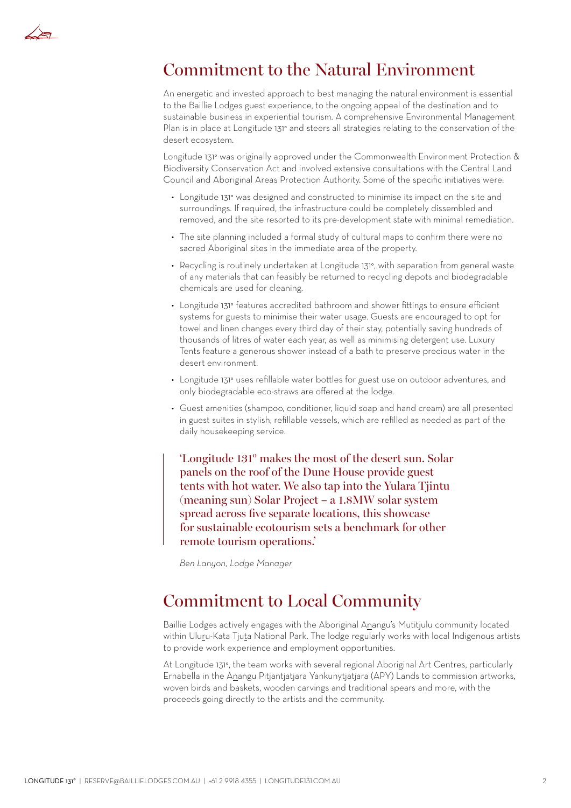

## Commitment to the Natural Environment

An energetic and invested approach to best managing the natural environment is essential to the Baillie Lodges guest experience, to the ongoing appeal of the destination and to sustainable business in experiential tourism. A comprehensive Environmental Management Plan is in place at Longitude 131° and steers all strategies relating to the conservation of the desert ecosystem.

Longitude 131° was originally approved under the Commonwealth Environment Protection & Biodiversity Conservation Act and involved extensive consultations with the Central Land Council and Aboriginal Areas Protection Authority. Some of the specific initiatives were:

- Longitude 131° was designed and constructed to minimise its impact on the site and surroundings. If required, the infrastructure could be completely dissembled and removed, and the site resorted to its pre-development state with minimal remediation.
- The site planning included a formal study of cultural maps to confirm there were no sacred Aboriginal sites in the immediate area of the property.
- Recycling is routinely undertaken at Longitude 131°, with separation from general waste of any materials that can feasibly be returned to recycling depots and biodegradable chemicals are used for cleaning.
- Longitude 131° features accredited bathroom and shower fittings to ensure efficient systems for guests to minimise their water usage. Guests are encouraged to opt for towel and linen changes every third day of their stay, potentially saving hundreds of thousands of litres of water each year, as well as minimising detergent use. Luxury Tents feature a generous shower instead of a bath to preserve precious water in the desert environment.
- Longitude 131° uses refillable water bottles for guest use on outdoor adventures, and only biodegradable eco-straws are offered at the lodge.
- Guest amenities (shampoo, conditioner, liquid soap and hand cream) are all presented in guest suites in stylish, refillable vessels, which are refilled as needed as part of the daily housekeeping service.

'Longitude 131° makes the most of the desert sun. Solar panels on the roof of the Dune House provide guest tents with hot water. We also tap into the Yulara Tjintu (meaning sun) Solar Project – a 1.8MW solar system spread across five separate locations, this showcase for sustainable ecotourism sets a benchmark for other remote tourism operations.'

*Ben Lanyon, Lodge Manager*

### Commitment to Local Community

Baillie Lodges actively engages with the Aboriginal Anangu's Mutitjulu community located within Uluru-Kata Tjuta National Park. The lodge regularly works with local Indigenous artists to provide work experience and employment opportunities.

At Longitude 131°, the team works with several regional Aboriginal Art Centres, particularly Ernabella in the Anangu Pitjantjatjara Yankunytjatjara (APY) Lands to commission artworks, woven birds and baskets, wooden carvings and traditional spears and more, with the proceeds going directly to the artists and the community.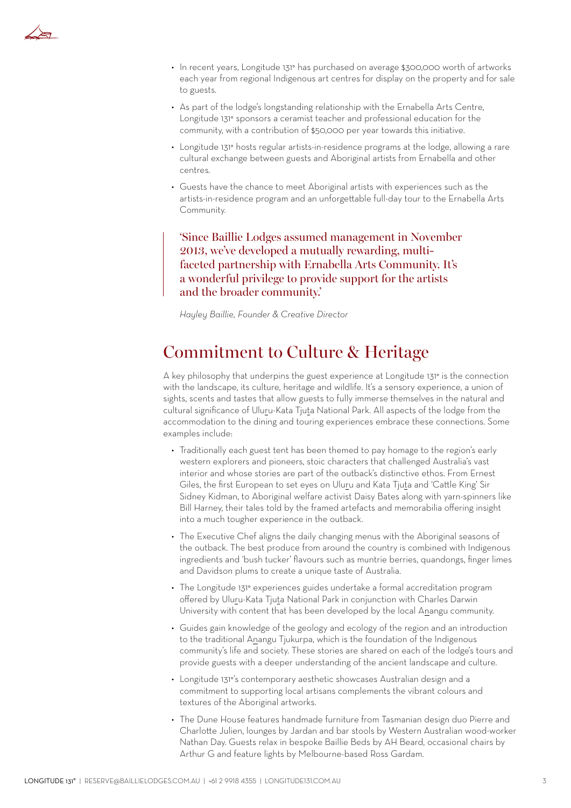

- In recent years, Longitude 131° has purchased on average \$300,000 worth of artworks each year from regional Indigenous art centres for display on the property and for sale to guests.
- As part of the lodge's longstanding relationship with the Ernabella Arts Centre, Longitude 131° sponsors a ceramist teacher and professional education for the community, with a contribution of \$50,000 per year towards this initiative.
- Longitude 131° hosts regular artists-in-residence programs at the lodge, allowing a rare cultural exchange between guests and Aboriginal artists from Ernabella and other centres.
- Guests have the chance to meet Aboriginal artists with experiences such as the artists-in-residence program and an unforgettable full-day tour to the Ernabella Arts Community.

'Since Baillie Lodges assumed management in November 2013, we've developed a mutually rewarding, multifaceted partnership with Ernabella Arts Community. It's a wonderful privilege to provide support for the artists and the broader community.'

*Hayley Baillie, Founder & Creative Director*

## Commitment to Culture & Heritage

A key philosophy that underpins the guest experience at Longitude 131° is the connection with the landscape, its culture, heritage and wildlife. It's a sensory experience, a union of sights, scents and tastes that allow guests to fully immerse themselves in the natural and cultural significance of Uluru-Kata Tjuta National Park. All aspects of the lodge from the accommodation to the dining and touring experiences embrace these connections. Some examples include:

- Traditionally each guest tent has been themed to pay homage to the region's early western explorers and pioneers, stoic characters that challenged Australia's vast interior and whose stories are part of the outback's distinctive ethos. From Ernest Giles, the first European to set eyes on Uluru and Kata Tjuta and 'Cattle King' Sir Sidney Kidman, to Aboriginal welfare activist Daisy Bates along with yarn-spinners like Bill Harney, their tales told by the framed artefacts and memorabilia offering insight into a much tougher experience in the outback.
- The Executive Chef aligns the daily changing menus with the Aboriginal seasons of the outback. The best produce from around the country is combined with Indigenous ingredients and 'bush tucker' flavours such as muntrie berries, quandongs, finger limes and Davidson plums to create a unique taste of Australia.
- The Longitude 131° experiences guides undertake a formal accreditation program offered by Uluru-Kata Tjuta National Park in conjunction with Charles Darwin University with content that has been developed by the local Anangu community.
- Guides gain knowledge of the geology and ecology of the region and an introduction to the traditional Anangu Tjukurpa, which is the foundation of the Indigenous community's life and society. These stories are shared on each of the lodge's tours and provide guests with a deeper understanding of the ancient landscape and culture.
- Longitude 131°'s contemporary aesthetic showcases Australian design and a commitment to supporting local artisans complements the vibrant colours and textures of the Aboriginal artworks.
- The Dune House features handmade furniture from Tasmanian design duo Pierre and Charlotte Julien, lounges by Jardan and bar stools by Western Australian wood-worker Nathan Day. Guests relax in bespoke Baillie Beds by AH Beard, occasional chairs by Arthur G and feature lights by Melbourne-based Ross Gardam.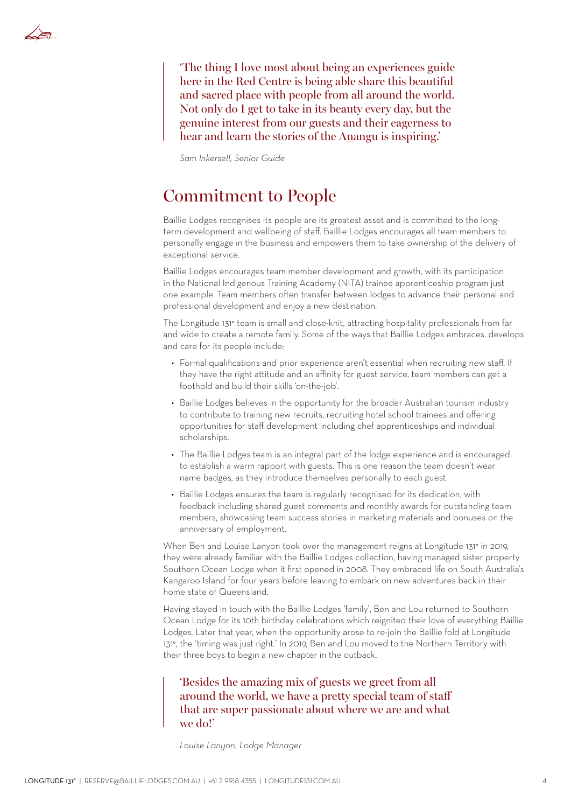

'The thing I love most about being an experiences guide here in the Red Centre is being able share this beautiful and sacred place with people from all around the world. Not only do I get to take in its beauty every day, but the genuine interest from our guests and their eagerness to hear and learn the stories of the Anangu is inspiring.'

*Sam Inkersell, Senior Guide* 

#### Commitment to People

Baillie Lodges recognises its people are its greatest asset and is committed to the longterm development and wellbeing of staff. Baillie Lodges encourages all team members to personally engage in the business and empowers them to take ownership of the delivery of exceptional service.

Baillie Lodges encourages team member development and growth, with its participation in the National Indigenous Training Academy (NITA) trainee apprenticeship program just one example. Team members often transfer between lodges to advance their personal and professional development and enjoy a new destination.

The Longitude 131° team is small and close-knit, attracting hospitality professionals from far and wide to create a remote family. Some of the ways that Baillie Lodges embraces, develops and care for its people include:

- Formal qualifications and prior experience aren't essential when recruiting new staff. If they have the right attitude and an affinity for guest service, team members can get a foothold and build their skills 'on-the-job'.
- Baillie Lodges believes in the opportunity for the broader Australian tourism industry to contribute to training new recruits, recruiting hotel school trainees and offering opportunities for staff development including chef apprenticeships and individual scholarships.
- The Baillie Lodges team is an integral part of the lodge experience and is encouraged to establish a warm rapport with guests. This is one reason the team doesn't wear name badges, as they introduce themselves personally to each guest.
- Baillie Lodges ensures the team is regularly recognised for its dedication, with feedback including shared guest comments and monthly awards for outstanding team members, showcasing team success stories in marketing materials and bonuses on the anniversary of employment.

When Ben and Louise Lanyon took over the management reigns at Longitude 131° in 2019, they were already familiar with the Baillie Lodges collection, having managed sister property Southern Ocean Lodge when it first opened in 2008. They embraced life on South Australia's Kangaroo Island for four years before leaving to embark on new adventures back in their home state of Queensland.

Having stayed in touch with the Baillie Lodges 'family', Ben and Lou returned to Southern Ocean Lodge for its 10th birthday celebrations which reignited their love of everything Baillie Lodges. Later that year, when the opportunity arose to re-join the Baillie fold at Longitude 131°, the 'timing was just right.' In 2019, Ben and Lou moved to the Northern Territory with their three boys to begin a new chapter in the outback.

#### 'Besides the amazing mix of guests we greet from all around the world, we have a pretty special team of staff that are super passionate about where we are and what we do!'

*Louise Lanyon, Lodge Manager*